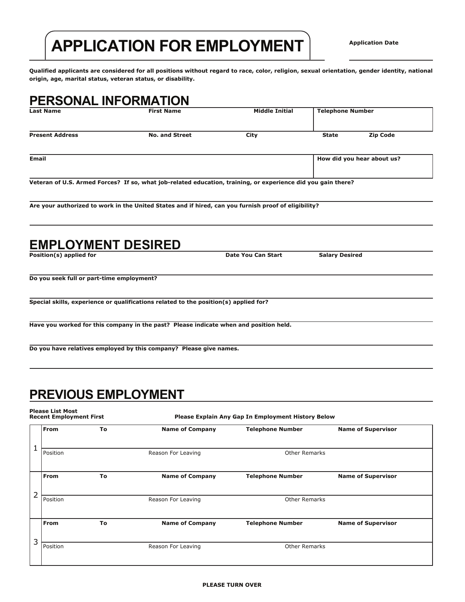# **APPLICATION FOR EMPLOYMENT**

**Qualified applicants are considered for all positions without regard to race, color, religion, sexual orientation, gender identity, national origin, age, marital status, veteran status, or disability.**

#### **PERSONAL INFORMATION**

| <b>Last Name</b>       | <b>First Name</b>     | Middle Initial | <b>Telephone Number</b> |                            |  |
|------------------------|-----------------------|----------------|-------------------------|----------------------------|--|
| <b>Present Address</b> | <b>No. and Street</b> | City           | <b>State</b>            | <b>Zip Code</b>            |  |
| Email                  |                       |                |                         | How did you hear about us? |  |
|                        |                       |                |                         |                            |  |

**Veteran of U.S. Armed Forces? If so, what job-related education, training, or experience did you gain there?**

**Are your authorized to work in the United States and if hired, can you furnish proof of eligibility?**

| Position(s) applied for                                                               | Date You Can Start | <b>Salary Desired</b> |  |
|---------------------------------------------------------------------------------------|--------------------|-----------------------|--|
| Do you seek full or part-time employment?                                             |                    |                       |  |
| Special skills, experience or qualifications related to the position(s) applied for?  |                    |                       |  |
| Have you worked for this company in the past? Please indicate when and position held. |                    |                       |  |
| Do you have relatives employed by this company? Please give names.                    |                    |                       |  |

## **PREVIOUS EMPLOYMENT**

**Please List Most Recent Employment First**

**Please Explain Any Gap In Employment History Below**

|   | <b>From</b> | To | <b>Name of Company</b> | <b>Telephone Number</b> | <b>Name of Supervisor</b> |
|---|-------------|----|------------------------|-------------------------|---------------------------|
|   |             |    |                        |                         |                           |
|   | Position    |    | Reason For Leaving     | <b>Other Remarks</b>    |                           |
|   | From        | To | <b>Name of Company</b> | <b>Telephone Number</b> | <b>Name of Supervisor</b> |
|   |             |    |                        |                         |                           |
| 2 | Position    |    | Reason For Leaving     | <b>Other Remarks</b>    |                           |
|   |             |    |                        |                         |                           |
|   | From        | To | <b>Name of Company</b> | <b>Telephone Number</b> | <b>Name of Supervisor</b> |
| 3 |             |    |                        |                         |                           |
|   | Position    |    | Reason For Leaving     | Other Remarks           |                           |
|   |             |    |                        |                         |                           |